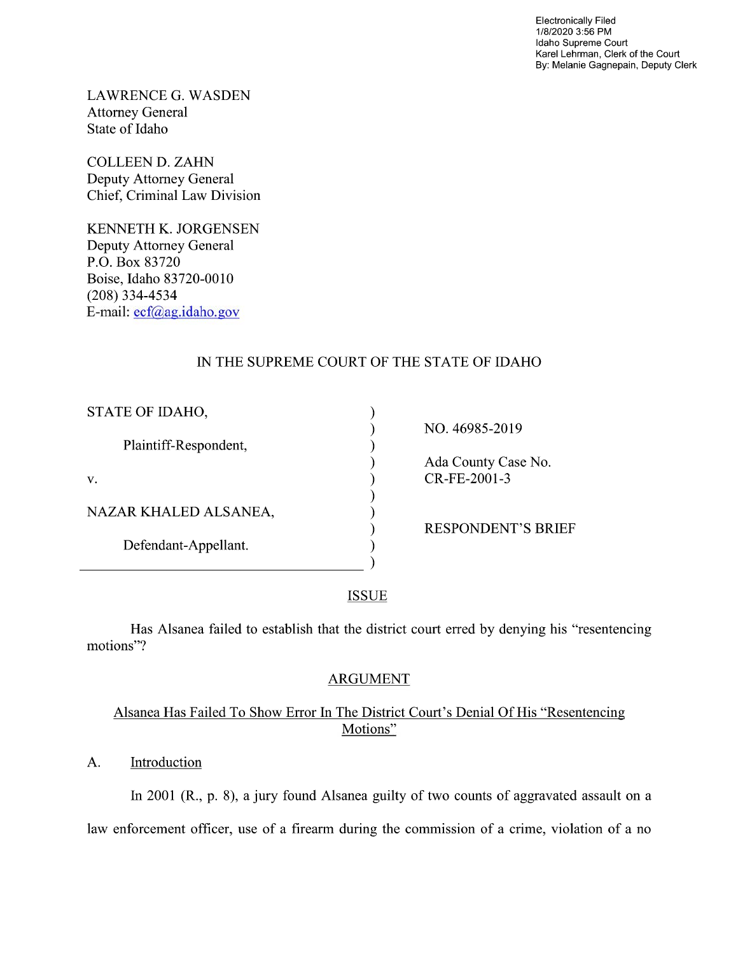Electronically Filed 1/8/2020 3:56 PM Idaho Supreme Court Karel Lehrman, Clerk of the Court By: Melanie Gagnepain, Deputy Clerk

LAWRENCE G. WASDEN Attorney General State of Idaho

COLLEEN D. ZAHN Deputy Attorney General Chief, Criminal Law Division

KENNETH K. JORGENSEN Deputy Attorney General P.O. Box 83720 Boise, Idaho 83720-0010 (208) 334—4534 E—mail: ecf@ag.idaho.gov

# IN THE SUPREME COURT OF THE STATE OF IDAHO

| STATE OF IDAHO,       |                           |
|-----------------------|---------------------------|
|                       | NO. 46985-2019            |
| Plaintiff-Respondent, |                           |
|                       | Ada County Case No.       |
| V.                    | CR-FE-2001-3              |
|                       |                           |
| NAZAR KHALED ALSANEA, |                           |
|                       | <b>RESPONDENT'S BRIEF</b> |
| Defendant-Appellant.  |                           |
|                       |                           |
|                       |                           |

**ISSUE** 

Has Alsanea failed to establish that the district court erred by denying his "resentencing motions"?

# ARGUMENT

# Alsanea Has Failed T0 Show Error In The District Court's Denial Of His "Resentencing Motions"

# A. **Introduction**

 $\overline{a}$ 

In 2001 (R., p. 8), a jury found Alsanea guilty of two counts of aggravated assault on a law enforcement officer, use of a firearm during the commission of a crime, violation of a no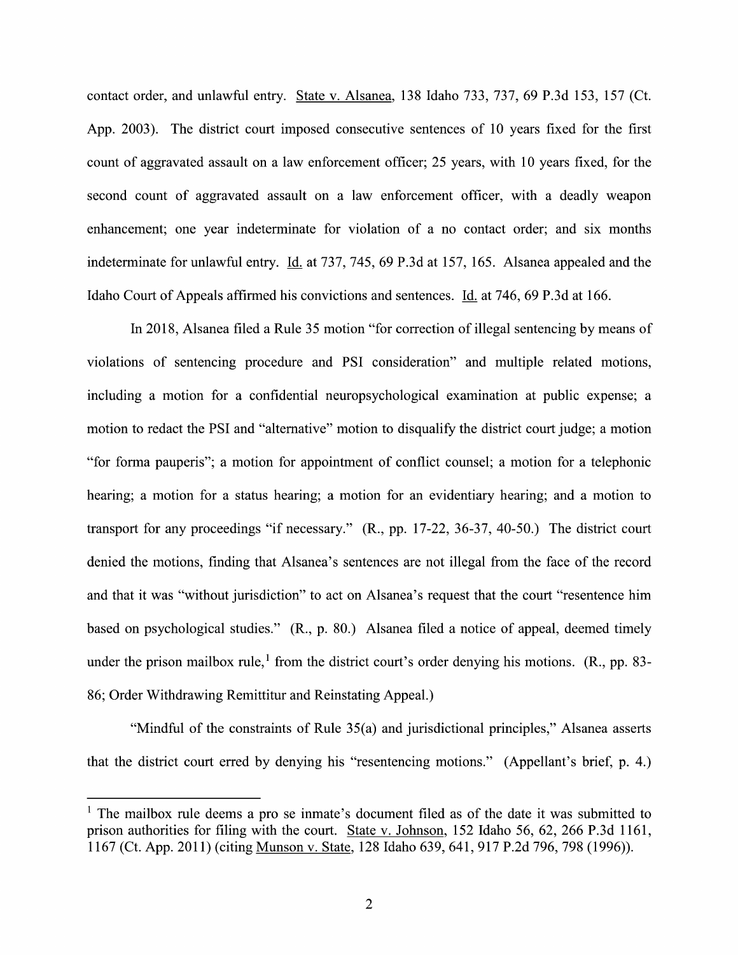contact order, and unlawful entry. State V. Alsanea, <sup>138</sup> Idaho 733, 737, <sup>69</sup> P.3d 153, <sup>157</sup> (Ct. App. 2003). The district court imposed consecutive sentences 0f 10 years fixed for the first count of aggravated assault on a law enforcement officer; 25 years, with 10 years fixed, for the second count of aggravated assault on a law enforcement officer, with a deadly weapon enhancement; one year indeterminate for violation of a no contact order; and six months indeterminate for unlawful entry. Id. at 737, 745, 69 P.3d at 157, 165. Alsanea appealed and the Idaho Court of Appeals affirmed his convictions and sentences. Id. at 746, 69 P.3d at 166.

In 2018, Alsanea filed a Rule 35 motion "for correction of illegal sentencing by means of violations of sentencing procedure and PSI consideration" and multiple related motions, including a motion for a confidential neuropsychological examination at public expense; a motion to redact the PSI and "alternative" motion to disqualify the district court judge; a motion "for forma pauperis"; a motion for appointment of conflict counsel; a motion for a telephonic hearing; a motion for a status hearing; a motion for an evidentiary hearing; and a motion to transport for any proceedings "if necessary." (R., pp. 17-22, 36-37, 40-50.) The district court denied the motions, finding that Alsanea's sentences are not illegal from the face 0f the record and that it was "without jurisdiction" to act on Alsanea's request that the court "resentence him based on psychological studies." (R., p. 80.) Alsanea filed a notice of appeal, deemed timely under the prison mailbox rule,<sup>1</sup> from the district court's order denying his motions. (R., pp. 83-86; Order Withdrawing Remittitur and Reinstating Appeal.)

"Mindful of the constraints of Rule 35(a) and jurisdictional principles," Alsanea asserts that the district court erred by denying his "resentencing motions." (Appellant's brief, p. 4.)

<sup>&</sup>lt;sup>1</sup> The mailbox rule deems a pro se inmate's document filed as of the date it was submitted to prison authorities for filing with the court. <u>State v. Johnson</u>, 152 Idaho 56, 62, 266 P.3d 1161, <sup>1</sup> The mailbox rule deems a pro se inmate's document filed as of the date it was submitted prison authorities for filing with the court. State v. Johnson, 152 Idaho 56, 62, 266 P.3d 11 167 (Ct. App. 2011) (citing <u>Munson </u>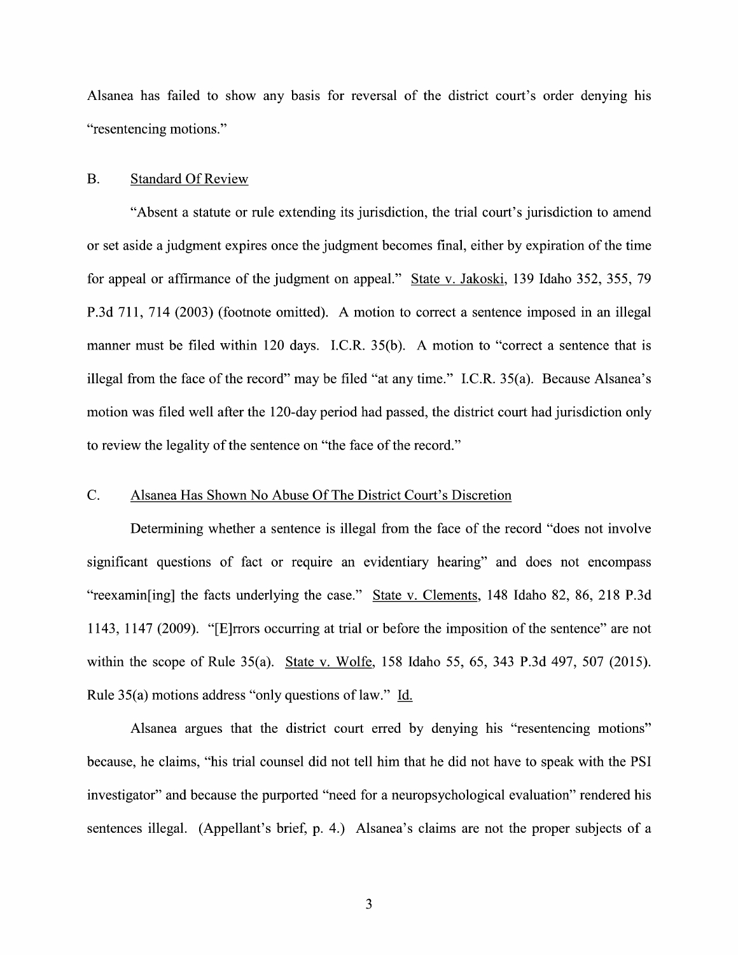Alsanea has failed to show any basis for reversal of the district court's order denying his "resentencing motions."

#### B. Standard Of Review

"Absent a statute or rule extending its jurisdiction, the trial court's jurisdiction to amend or set aside a judgment expires once the judgment becomes final, either by expiration of the time for appeal or affirmance of the judgment on appeal." State v. Jakoski, 139 Idaho 352, 355, 79 P.3d 711, 714 (2003) (footnote omitted). A motion to correct a sentence imposed in an illegal manner must be filed within 120 days. I.C.R.  $35(b)$ . A motion to "correct a sentence that is illegal from the face of the record" may be filed "at any time." I.C.R. 35(a). Because Alsanea's motion was filed well after the 120-day period had passed, the district court had jurisdiction only to review the legality of the sentence on "the face of the record."

### C. Alsanea Has Shown No Abuse Of The District Court's Discretion

Determining whether a sentence is illegal from the face of the record "does not involve" significant questions of fact or require an evidentiary hearing" and does not encompass "reexamin[ing] the facts underlying the case." State V. Clements, 148 Idaho 82, 86, 218 P.3d 1143, 1147 (2009). "[E]rrors occurring at trial or before the imposition of the sentence" are not within the scope of Rule 35(a). State v. Wolfe, 158 Idaho 55, 65, 343 P.3d 497, 507 (2015). Rule 35(a) motions address "only questions of law." Id.

Alsanea argues that the district court erred by denying his "resentencing motions" because, he claims, "his trial counsel did not tell him that he did not have to speak with the PSI investigator" and because the purported "need for a neuropsychological evaluation" rendered his sentences illegal. (Appellant's brief, p. 4.) Alsanea's claims are not the proper subjects of a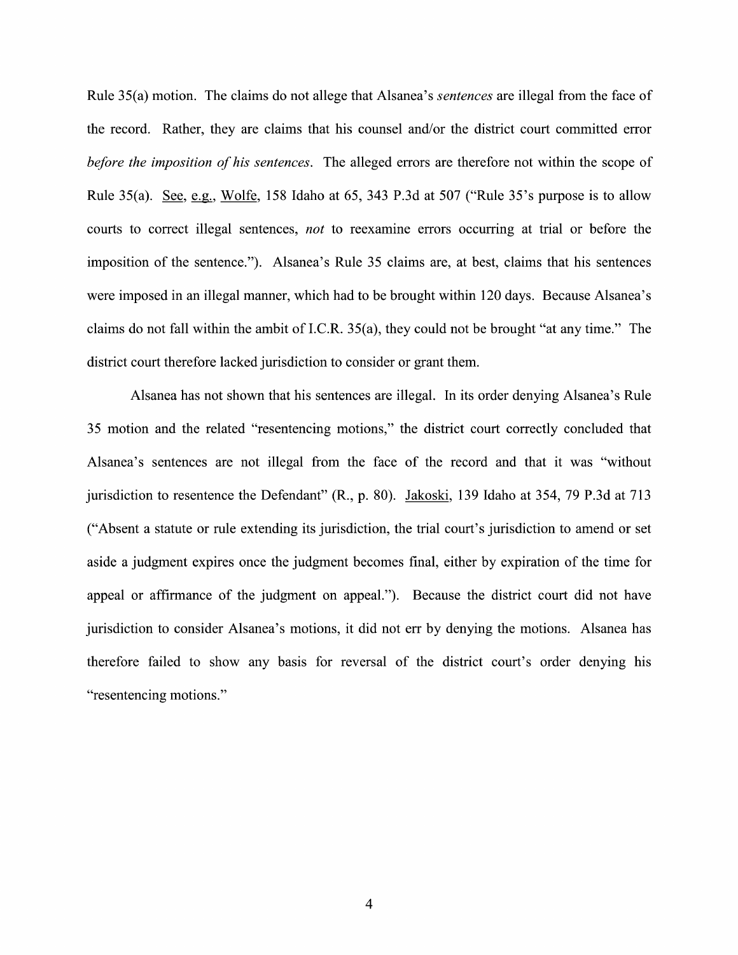Rule 35(a) motion. The claims do not allege that Alsanea's *sentences* are illegal from the face of the record. Rather, they are claims that his counsel and/or the district court committed error before the imposition of his sentences. The alleged errors are therefore not within the scope of Rule  $35(a)$ . See, e.g., Wolfe, 158 Idaho at 65, 343 P.3d at 507 ("Rule  $35$ 's purpose is to allow courts to correct illegal sentences, *not* to reexamine errors occurring at trial or before the imposition 0f the sentence."). Alsanea's Rule 35 claims are, at best, claims that his sentences were imposed in an illegal manner, which had to be brought within 120 days. Because Alsanea's claims do not fall within the ambit 0f I.C.R. 35(a), they could not be brought "at any time." The district court therefore lacked jurisdiction to consider or grant them.

Alsanea has not shown that his sentences are illegal. In its order denying Alsanea's Rule 35 motion and the related "resentencing motions," the district court correctly concluded that Alsanea's sentences are not illegal from the face 0f the record and that it was "without jurisdiction to resentence the Defendant" (R., p. 80). Jakoski, 139 Idaho at 354, 79 P.3d at 713 ("Absent a statute or rule extending its jurisdiction, the trial court's jurisdiction to amend or set aside a judgment expires once the judgment becomes final, either by expiration of the time for appeal or affirmance of the judgment on appeal."). Because the district court did not have jurisdiction to consider Alsanea's motions, it did not err by denying the motions. Alsanea has therefore failed to show any basis for reversal 0f the district court's order denying his "resentencing motions."